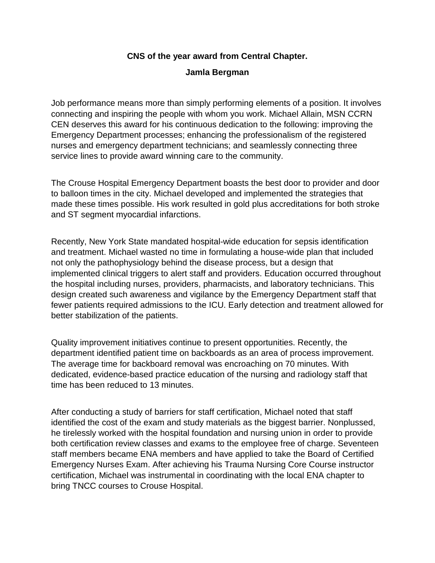## **CNS of the year award from Central Chapter.**

## **[Jamla Bergman](mailto:jamlabergman@crouse.org)**

Job performance means more than simply performing elements of a position. It involves connecting and inspiring the people with whom you work. Michael Allain, MSN CCRN CEN deserves this award for his continuous dedication to the following: improving the Emergency Department processes; enhancing the professionalism of the registered nurses and emergency department technicians; and seamlessly connecting three service lines to provide award winning care to the community.

The Crouse Hospital Emergency Department boasts the best door to provider and door to balloon times in the city. Michael developed and implemented the strategies that made these times possible. His work resulted in gold plus accreditations for both stroke and ST segment myocardial infarctions.

Recently, New York State mandated hospital-wide education for sepsis identification and treatment. Michael wasted no time in formulating a house-wide plan that included not only the pathophysiology behind the disease process, but a design that implemented clinical triggers to alert staff and providers. Education occurred throughout the hospital including nurses, providers, pharmacists, and laboratory technicians. This design created such awareness and vigilance by the Emergency Department staff that fewer patients required admissions to the ICU. Early detection and treatment allowed for better stabilization of the patients.

Quality improvement initiatives continue to present opportunities. Recently, the department identified patient time on backboards as an area of process improvement. The average time for backboard removal was encroaching on 70 minutes. With dedicated, evidence-based practice education of the nursing and radiology staff that time has been reduced to 13 minutes.

After conducting a study of barriers for staff certification, Michael noted that staff identified the cost of the exam and study materials as the biggest barrier. Nonplussed, he tirelessly worked with the hospital foundation and nursing union in order to provide both certification review classes and exams to the employee free of charge. Seventeen staff members became ENA members and have applied to take the Board of Certified Emergency Nurses Exam. After achieving his Trauma Nursing Core Course instructor certification, Michael was instrumental in coordinating with the local ENA chapter to bring TNCC courses to Crouse Hospital.